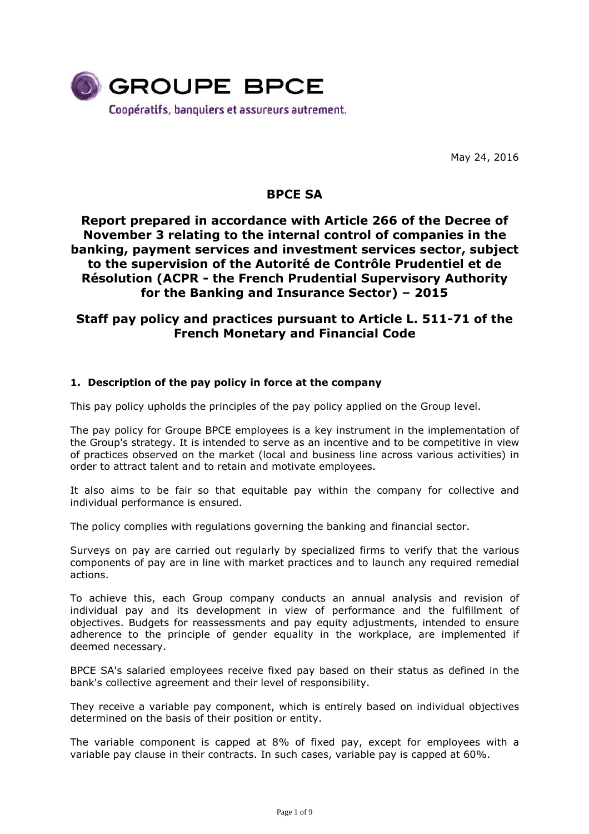

May 24, 2016

# **BPCE SA**

# **Report prepared in accordance with Article 266 of the Decree of November 3 relating to the internal control of companies in the banking, payment services and investment services sector, subject to the supervision of the Autorité de Contrôle Prudentiel et de Résolution (ACPR - the French Prudential Supervisory Authority for the Banking and Insurance Sector) – 2015**

# **Staff pay policy and practices pursuant to Article L. 511-71 of the French Monetary and Financial Code**

## **1. Description of the pay policy in force at the company**

This pay policy upholds the principles of the pay policy applied on the Group level.

The pay policy for Groupe BPCE employees is a key instrument in the implementation of the Group's strategy. It is intended to serve as an incentive and to be competitive in view of practices observed on the market (local and business line across various activities) in order to attract talent and to retain and motivate employees.

It also aims to be fair so that equitable pay within the company for collective and individual performance is ensured.

The policy complies with regulations governing the banking and financial sector.

Surveys on pay are carried out regularly by specialized firms to verify that the various components of pay are in line with market practices and to launch any required remedial actions.

To achieve this, each Group company conducts an annual analysis and revision of individual pay and its development in view of performance and the fulfillment of objectives. Budgets for reassessments and pay equity adjustments, intended to ensure adherence to the principle of gender equality in the workplace, are implemented if deemed necessary.

BPCE SA's salaried employees receive fixed pay based on their status as defined in the bank's collective agreement and their level of responsibility.

They receive a variable pay component, which is entirely based on individual objectives determined on the basis of their position or entity.

The variable component is capped at 8% of fixed pay, except for employees with a variable pay clause in their contracts. In such cases, variable pay is capped at 60%.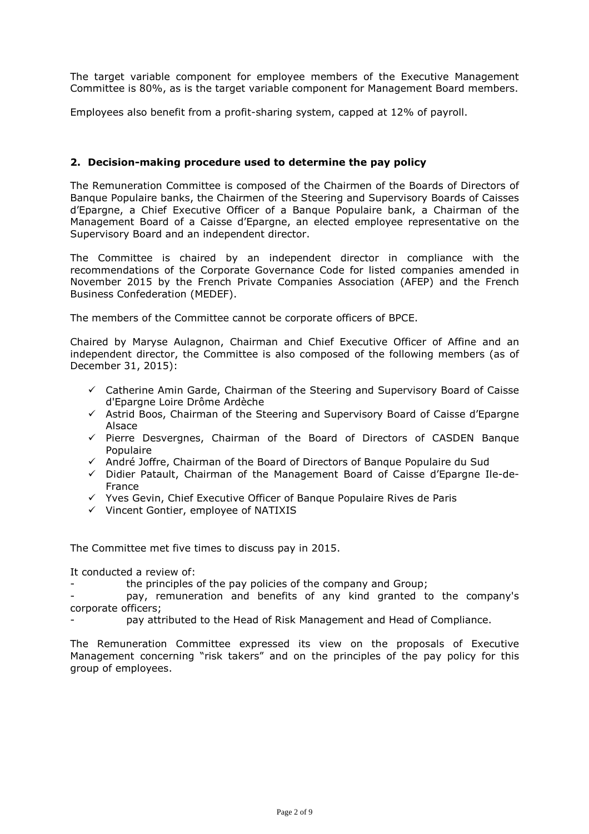The target variable component for employee members of the Executive Management Committee is 80%, as is the target variable component for Management Board members.

Employees also benefit from a profit-sharing system, capped at 12% of payroll.

### **2. Decision-making procedure used to determine the pay policy**

The Remuneration Committee is composed of the Chairmen of the Boards of Directors of Banque Populaire banks, the Chairmen of the Steering and Supervisory Boards of Caisses d'Epargne, a Chief Executive Officer of a Banque Populaire bank, a Chairman of the Management Board of a Caisse d'Epargne, an elected employee representative on the Supervisory Board and an independent director.

The Committee is chaired by an independent director in compliance with the recommendations of the Corporate Governance Code for listed companies amended in November 2015 by the French Private Companies Association (AFEP) and the French Business Confederation (MEDEF).

The members of the Committee cannot be corporate officers of BPCE.

Chaired by Maryse Aulagnon, Chairman and Chief Executive Officer of Affine and an independent director, the Committee is also composed of the following members (as of December 31, 2015):

- $\checkmark$  Catherine Amin Garde, Chairman of the Steering and Supervisory Board of Caisse d'Epargne Loire Drôme Ardèche
- $\checkmark$  Astrid Boos, Chairman of the Steering and Supervisory Board of Caisse d'Epargne Alsace
- $\checkmark$  Pierre Desvergnes, Chairman of the Board of Directors of CASDEN Banque Populaire
- André Joffre, Chairman of the Board of Directors of Banque Populaire du Sud
- $\checkmark$  Didier Patault, Chairman of the Management Board of Caisse d'Epargne Ile-de-France
- $\checkmark$  Yves Gevin, Chief Executive Officer of Banque Populaire Rives de Paris
- $\checkmark$  Vincent Gontier, employee of NATIXIS

The Committee met five times to discuss pay in 2015.

It conducted a review of:

the principles of the pay policies of the company and Group;

pay, remuneration and benefits of any kind granted to the company's corporate officers;

pay attributed to the Head of Risk Management and Head of Compliance.

The Remuneration Committee expressed its view on the proposals of Executive Management concerning "risk takers" and on the principles of the pay policy for this group of employees.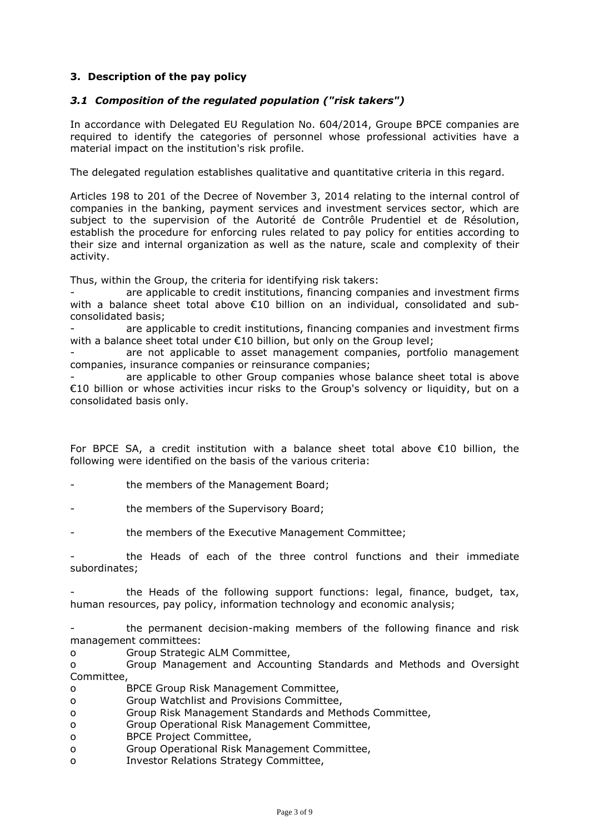## **3. Description of the pay policy**

### *3.1 Composition of the regulated population ("risk takers")*

In accordance with Delegated EU Regulation No. 604/2014, Groupe BPCE companies are required to identify the categories of personnel whose professional activities have a material impact on the institution's risk profile.

The delegated regulation establishes qualitative and quantitative criteria in this regard.

Articles 198 to 201 of the Decree of November 3, 2014 relating to the internal control of companies in the banking, payment services and investment services sector, which are subject to the supervision of the Autorité de Contrôle Prudentiel et de Résolution, establish the procedure for enforcing rules related to pay policy for entities according to their size and internal organization as well as the nature, scale and complexity of their activity.

Thus, within the Group, the criteria for identifying risk takers:

are applicable to credit institutions, financing companies and investment firms with a balance sheet total above €10 billion on an individual, consolidated and subconsolidated basis;

are applicable to credit institutions, financing companies and investment firms with a balance sheet total under €10 billion, but only on the Group level;

are not applicable to asset management companies, portfolio management companies, insurance companies or reinsurance companies;

are applicable to other Group companies whose balance sheet total is above €10 billion or whose activities incur risks to the Group's solvency or liquidity, but on a consolidated basis only.

For BPCE SA, a credit institution with a balance sheet total above €10 billion, the following were identified on the basis of the various criteria:

the members of the Management Board;

the members of the Supervisory Board;

the members of the Executive Management Committee;

- the Heads of each of the three control functions and their immediate subordinates;

the Heads of the following support functions: legal, finance, budget, tax, human resources, pay policy, information technology and economic analysis;

- the permanent decision-making members of the following finance and risk management committees:

o Group Strategic ALM Committee,

o Group Management and Accounting Standards and Methods and Oversight Committee,

- o BPCE Group Risk Management Committee,
- o Group Watchlist and Provisions Committee,
- o Group Risk Management Standards and Methods Committee,
- o Group Operational Risk Management Committee,
- o BPCE Project Committee,
- o Group Operational Risk Management Committee,
- o Investor Relations Strategy Committee,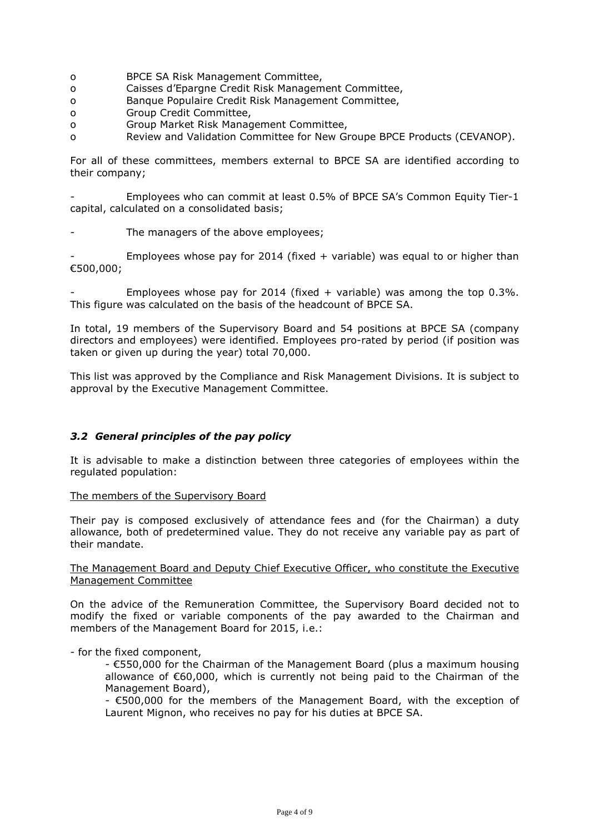- o BPCE SA Risk Management Committee,
- o Caisses d'Epargne Credit Risk Management Committee,
- o Banque Populaire Credit Risk Management Committee,
- o Group Credit Committee,
- o Group Market Risk Management Committee,
- o Review and Validation Committee for New Groupe BPCE Products (CEVANOP).

For all of these committees, members external to BPCE SA are identified according to their company;

Employees who can commit at least 0.5% of BPCE SA's Common Equity Tier-1 capital, calculated on a consolidated basis;

The managers of the above employees;

Employees whose pay for 2014 (fixed  $+$  variable) was equal to or higher than €500,000;

Employees whose pay for 2014 (fixed + variable) was among the top  $0.3\%$ . This figure was calculated on the basis of the headcount of BPCE SA.

In total, 19 members of the Supervisory Board and 54 positions at BPCE SA (company directors and employees) were identified. Employees pro-rated by period (if position was taken or given up during the year) total 70,000.

This list was approved by the Compliance and Risk Management Divisions. It is subject to approval by the Executive Management Committee.

### *3.2 General principles of the pay policy*

It is advisable to make a distinction between three categories of employees within the regulated population:

#### The members of the Supervisory Board

Their pay is composed exclusively of attendance fees and (for the Chairman) a duty allowance, both of predetermined value. They do not receive any variable pay as part of their mandate.

### The Management Board and Deputy Chief Executive Officer, who constitute the Executive Management Committee

On the advice of the Remuneration Committee, the Supervisory Board decided not to modify the fixed or variable components of the pay awarded to the Chairman and members of the Management Board for 2015, i.e.:

- for the fixed component,

- €550,000 for the Chairman of the Management Board (plus a maximum housing allowance of €60,000, which is currently not being paid to the Chairman of the Management Board),

- €500,000 for the members of the Management Board, with the exception of Laurent Mignon, who receives no pay for his duties at BPCE SA.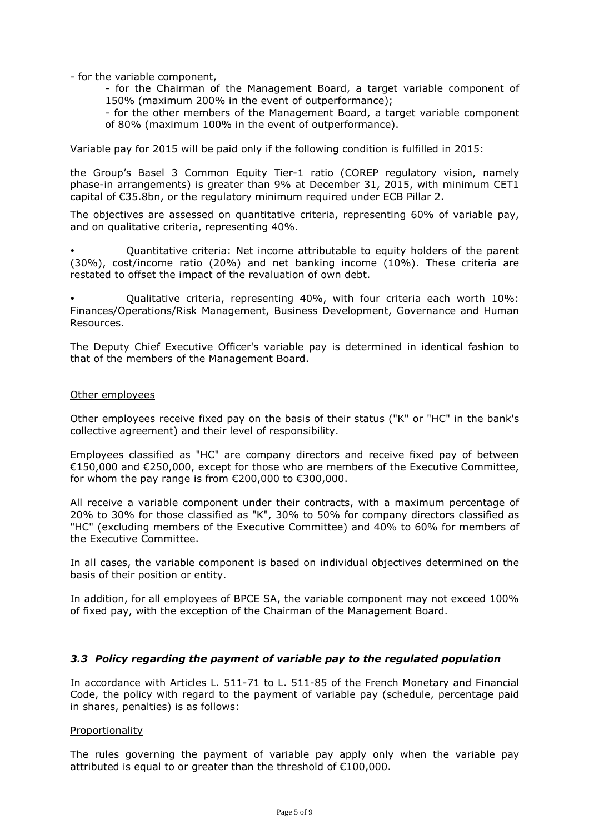- for the variable component,

- for the Chairman of the Management Board, a target variable component of 150% (maximum 200% in the event of outperformance);

- for the other members of the Management Board, a target variable component of 80% (maximum 100% in the event of outperformance).

Variable pay for 2015 will be paid only if the following condition is fulfilled in 2015:

the Group's Basel 3 Common Equity Tier-1 ratio (COREP regulatory vision, namely phase-in arrangements) is greater than 9% at December 31, 2015, with minimum CET1 capital of €35.8bn, or the regulatory minimum required under ECB Pillar 2.

The objectives are assessed on quantitative criteria, representing 60% of variable pay, and on qualitative criteria, representing 40%.

- Quantitative criteria: Net income attributable to equity holders of the parent (30%), cost/income ratio (20%) and net banking income (10%). These criteria are restated to offset the impact of the revaluation of own debt.

- Qualitative criteria, representing 40%, with four criteria each worth 10%: Finances/Operations/Risk Management, Business Development, Governance and Human Resources.

The Deputy Chief Executive Officer's variable pay is determined in identical fashion to that of the members of the Management Board.

#### Other employees

Other employees receive fixed pay on the basis of their status ("K" or "HC" in the bank's collective agreement) and their level of responsibility.

Employees classified as "HC" are company directors and receive fixed pay of between €150,000 and €250,000, except for those who are members of the Executive Committee, for whom the pay range is from €200,000 to €300,000.

All receive a variable component under their contracts, with a maximum percentage of 20% to 30% for those classified as "K", 30% to 50% for company directors classified as "HC" (excluding members of the Executive Committee) and 40% to 60% for members of the Executive Committee.

In all cases, the variable component is based on individual objectives determined on the basis of their position or entity.

In addition, for all employees of BPCE SA, the variable component may not exceed 100% of fixed pay, with the exception of the Chairman of the Management Board.

### *3.3 Policy regarding the payment of variable pay to the regulated population*

In accordance with Articles L. 511-71 to L. 511-85 of the French Monetary and Financial Code, the policy with regard to the payment of variable pay (schedule, percentage paid in shares, penalties) is as follows:

#### Proportionality

The rules governing the payment of variable pay apply only when the variable pay attributed is equal to or greater than the threshold of €100,000.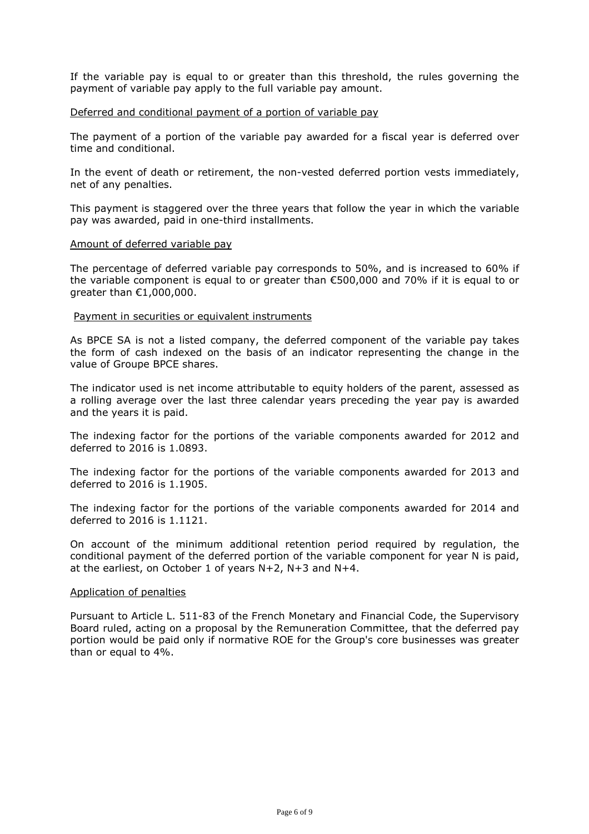If the variable pay is equal to or greater than this threshold, the rules governing the payment of variable pay apply to the full variable pay amount.

#### Deferred and conditional payment of a portion of variable pay

The payment of a portion of the variable pay awarded for a fiscal year is deferred over time and conditional.

In the event of death or retirement, the non-vested deferred portion vests immediately, net of any penalties.

This payment is staggered over the three years that follow the year in which the variable pay was awarded, paid in one-third installments.

#### Amount of deferred variable pay

The percentage of deferred variable pay corresponds to 50%, and is increased to 60% if the variable component is equal to or greater than  $\epsilon$ 500,000 and 70% if it is equal to or greater than €1,000,000.

#### Payment in securities or equivalent instruments

As BPCE SA is not a listed company, the deferred component of the variable pay takes the form of cash indexed on the basis of an indicator representing the change in the value of Groupe BPCE shares.

The indicator used is net income attributable to equity holders of the parent, assessed as a rolling average over the last three calendar years preceding the year pay is awarded and the years it is paid.

The indexing factor for the portions of the variable components awarded for 2012 and deferred to 2016 is 1.0893.

The indexing factor for the portions of the variable components awarded for 2013 and deferred to 2016 is 1.1905.

The indexing factor for the portions of the variable components awarded for 2014 and deferred to 2016 is 1.1121.

On account of the minimum additional retention period required by regulation, the conditional payment of the deferred portion of the variable component for year N is paid, at the earliest, on October 1 of years N+2, N+3 and N+4.

#### Application of penalties

Pursuant to Article L. 511-83 of the French Monetary and Financial Code, the Supervisory Board ruled, acting on a proposal by the Remuneration Committee, that the deferred pay portion would be paid only if normative ROE for the Group's core businesses was greater than or equal to 4%.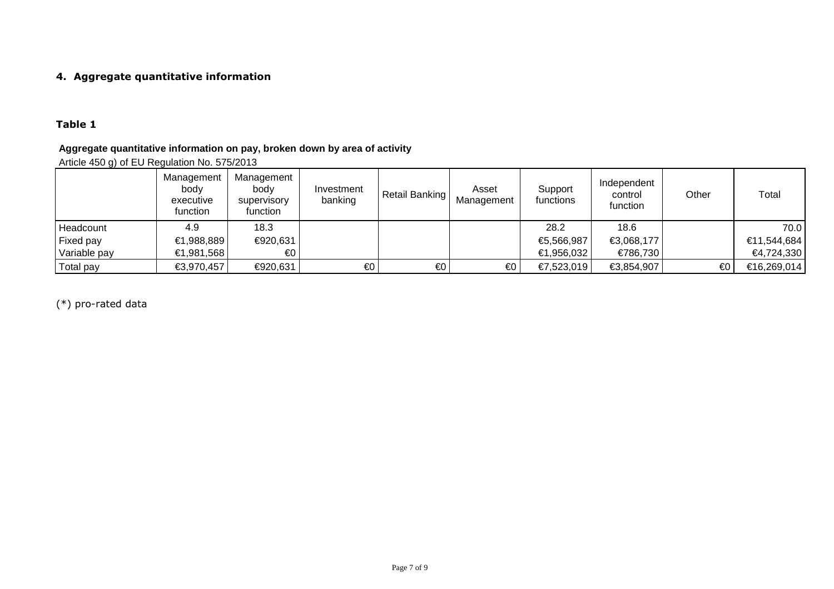## **4. Aggregate quantitative information**

## **Table 1**

## **Aggregate quantitative information on pay, broken down by area of activity**

Article 450 g) of EU Regulation No. 575/2013

|              | Management<br>body<br>executive<br>function | Management<br>body<br>supervisory<br>function | Investment<br>banking | Retail Banking | Asset<br>Management | Support<br>functions | Independent<br>control<br>function | Other | Total       |
|--------------|---------------------------------------------|-----------------------------------------------|-----------------------|----------------|---------------------|----------------------|------------------------------------|-------|-------------|
| Headcount    | 4.9                                         | 18.3                                          |                       |                |                     | 28.2                 | 18.6                               |       | 70.0        |
| Fixed pay    | €1,988,889                                  | €920,631                                      |                       |                |                     | €5,566,987           | €3,068,177                         |       | €11,544,684 |
| Variable pay | €1,981,568                                  | €0                                            |                       |                |                     | €1,956,032           | €786,730                           |       | €4,724,330  |
| Total pay    | €3,970,457                                  | €920,631                                      | €0                    | €0             | €0                  | €7,523,019           | €3,854,907                         | €0    | €16,269,014 |

(\*) pro-rated data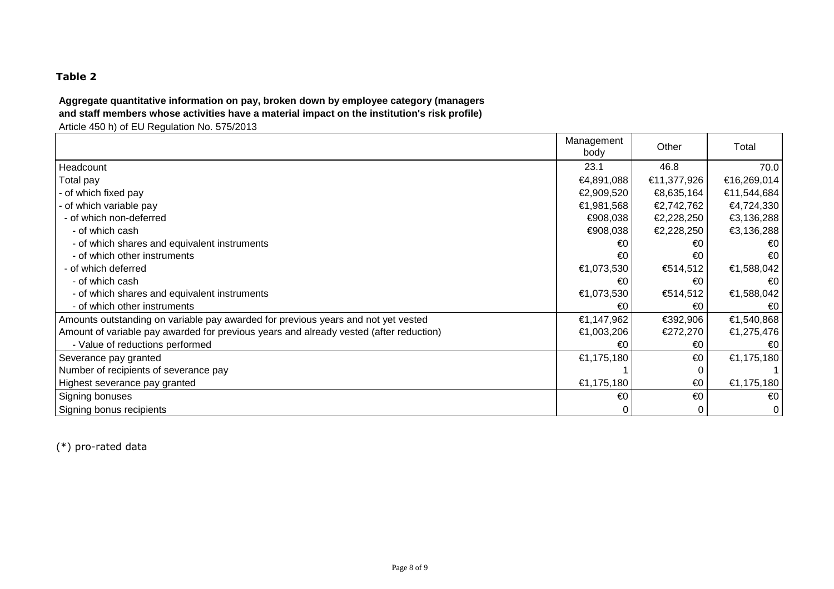## **Table 2**

# **Aggregate quantitative information on pay, broken down by employee category (managers and staff members whose activities have a material impact on the institution's risk profile)**

Article 450 h) of EU Regulation No. 575/2013

|                                                                                        | Management<br>body | Other       | Total                   |
|----------------------------------------------------------------------------------------|--------------------|-------------|-------------------------|
| Headcount                                                                              | 23.1               | 46.8        | 70.0                    |
| Total pay                                                                              | €4,891,088         | €11,377,926 | €16,269,014             |
| - of which fixed pay                                                                   | €2,909,520         | €8,635,164  | €11,544,684             |
| - of which variable pay                                                                | €1,981,568         | €2,742,762  | €4,724,330              |
| - of which non-deferred                                                                | €908,038           | €2,228,250  | €3,136,288              |
| - of which cash                                                                        | €908,038           | €2,228,250  | €3,136,288              |
| - of which shares and equivalent instruments                                           | €0                 | €0          | €0                      |
| - of which other instruments                                                           | €0                 | €0          | $\epsilon$ <sup>0</sup> |
| - of which deferred                                                                    | €1,073,530         | €514,512    | €1,588,042              |
| - of which cash                                                                        | €0                 | €0          | €0                      |
| - of which shares and equivalent instruments                                           | €1,073,530         | €514,512    | €1,588,042              |
| - of which other instruments                                                           | €0                 | €0          | $\epsilon$ <sup>0</sup> |
| Amounts outstanding on variable pay awarded for previous years and not yet vested      | €1,147,962         | €392,906    | €1,540,868              |
| Amount of variable pay awarded for previous years and already vested (after reduction) | €1,003,206         | €272,270    | €1,275,476              |
| - Value of reductions performed                                                        | €0                 | €0          | $\epsilon$ 0            |
| Severance pay granted                                                                  | €1,175,180         | €0          | €1,175,180              |
| Number of recipients of severance pay                                                  |                    |             |                         |
| Highest severance pay granted                                                          | €1,175,180         | €0          | €1,175,180              |
| Signing bonuses                                                                        | €0                 | €0          | $\epsilon$ 0            |
| Signing bonus recipients                                                               |                    | 0           | $\mathbf 0$             |

(\*) pro-rated data